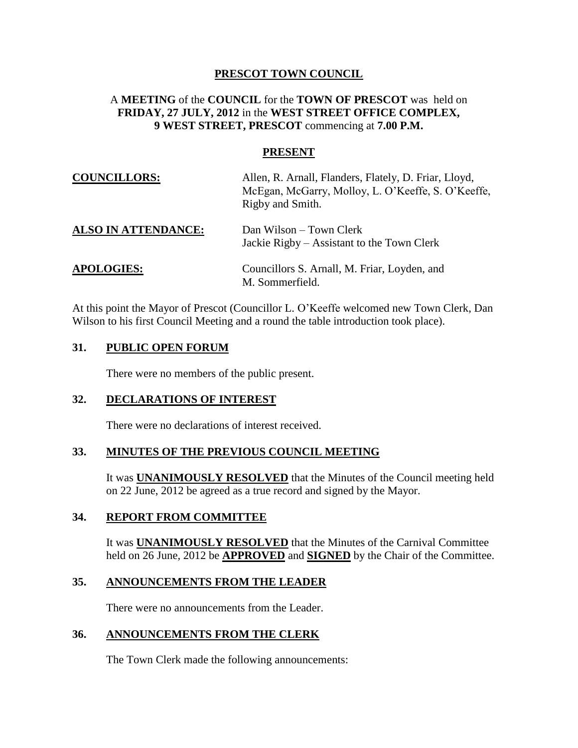## **PRESCOT TOWN COUNCIL**

## A **MEETING** of the **COUNCIL** for the **TOWN OF PRESCOT** was held on **FRIDAY, 27 JULY, 2012** in the **WEST STREET OFFICE COMPLEX, 9 WEST STREET, PRESCOT** commencing at **7.00 P.M.**

#### **PRESENT**

| <b>COUNCILLORS:</b>        | Allen, R. Arnall, Flanders, Flately, D. Friar, Lloyd,<br>McEgan, McGarry, Molloy, L. O'Keeffe, S. O'Keeffe,<br>Rigby and Smith. |
|----------------------------|---------------------------------------------------------------------------------------------------------------------------------|
| <b>ALSO IN ATTENDANCE:</b> | Dan Wilson – Town Clerk<br>Jackie Rigby – Assistant to the Town Clerk                                                           |
| <b>APOLOGIES:</b>          | Councillors S. Arnall, M. Friar, Loyden, and<br>M. Sommerfield.                                                                 |

At this point the Mayor of Prescot (Councillor L. O'Keeffe welcomed new Town Clerk, Dan Wilson to his first Council Meeting and a round the table introduction took place).

#### **31. PUBLIC OPEN FORUM**

There were no members of the public present.

#### **32. DECLARATIONS OF INTEREST**

There were no declarations of interest received.

#### **33. MINUTES OF THE PREVIOUS COUNCIL MEETING**

It was **UNANIMOUSLY RESOLVED** that the Minutes of the Council meeting held on 22 June, 2012 be agreed as a true record and signed by the Mayor.

### **34. REPORT FROM COMMITTEE**

It was **UNANIMOUSLY RESOLVED** that the Minutes of the Carnival Committee held on 26 June, 2012 be **APPROVED** and **SIGNED** by the Chair of the Committee.

## **35. ANNOUNCEMENTS FROM THE LEADER**

There were no announcements from the Leader.

# **36. ANNOUNCEMENTS FROM THE CLERK**

The Town Clerk made the following announcements: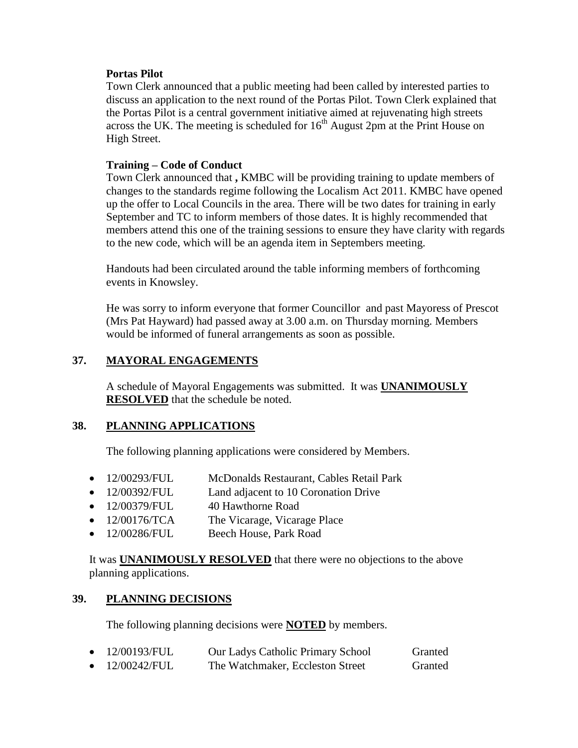#### **Portas Pilot**

Town Clerk announced that a public meeting had been called by interested parties to discuss an application to the next round of the Portas Pilot. Town Clerk explained that the Portas Pilot is a central government initiative aimed at rejuvenating high streets across the UK. The meeting is scheduled for  $16<sup>th</sup>$  August 2pm at the Print House on High Street.

### **Training – Code of Conduct**

Town Clerk announced that **,** KMBC will be providing training to update members of changes to the standards regime following the Localism Act 2011. KMBC have opened up the offer to Local Councils in the area. There will be two dates for training in early September and TC to inform members of those dates. It is highly recommended that members attend this one of the training sessions to ensure they have clarity with regards to the new code, which will be an agenda item in Septembers meeting.

Handouts had been circulated around the table informing members of forthcoming events in Knowsley.

He was sorry to inform everyone that former Councillor and past Mayoress of Prescot (Mrs Pat Hayward) had passed away at 3.00 a.m. on Thursday morning. Members would be informed of funeral arrangements as soon as possible.

# **37. MAYORAL ENGAGEMENTS**

A schedule of Mayoral Engagements was submitted. It was **UNANIMOUSLY RESOLVED** that the schedule be noted.

# **38. PLANNING APPLICATIONS**

The following planning applications were considered by Members.

- 12/00293/FUL McDonalds Restaurant, Cables Retail Park
- 12/00392/FUL Land adjacent to 10 Coronation Drive
- 12/00379/FUL 40 Hawthorne Road
- 12/00176/TCA The Vicarage, Vicarage Place
- 12/00286/FUL Beech House, Park Road

It was **UNANIMOUSLY RESOLVED** that there were no objections to the above planning applications.

# **39. PLANNING DECISIONS**

The following planning decisions were **NOTED** by members.

| 12/00193/FUL | <b>Our Ladys Catholic Primary School</b> | Granted |
|--------------|------------------------------------------|---------|
| 12/00242/FUL | The Watchmaker, Eccleston Street         | Granted |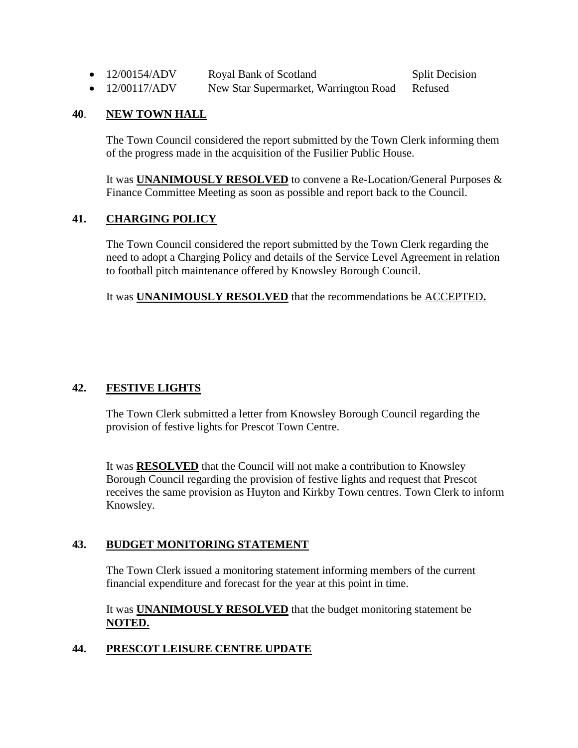• 12/00154/ADV Royal Bank of Scotland Split Decision

• 12/00117/ADV New Star Supermarket, Warrington Road Refused

# **40**. **NEW TOWN HALL**

The Town Council considered the report submitted by the Town Clerk informing them of the progress made in the acquisition of the Fusilier Public House.

It was **UNANIMOUSLY RESOLVED** to convene a Re-Location/General Purposes & Finance Committee Meeting as soon as possible and report back to the Council.

# **41. CHARGING POLICY**

The Town Council considered the report submitted by the Town Clerk regarding the need to adopt a Charging Policy and details of the Service Level Agreement in relation to football pitch maintenance offered by Knowsley Borough Council.

It was **UNANIMOUSLY RESOLVED** that the recommendations be ACCEPTED**.**

# **42. FESTIVE LIGHTS**

The Town Clerk submitted a letter from Knowsley Borough Council regarding the provision of festive lights for Prescot Town Centre.

It was **RESOLVED** that the Council will not make a contribution to Knowsley Borough Council regarding the provision of festive lights and request that Prescot receives the same provision as Huyton and Kirkby Town centres. Town Clerk to inform Knowsley.

# **43. BUDGET MONITORING STATEMENT**

The Town Clerk issued a monitoring statement informing members of the current financial expenditure and forecast for the year at this point in time.

It was **UNANIMOUSLY RESOLVED** that the budget monitoring statement be **NOTED.**

# **44. PRESCOT LEISURE CENTRE UPDATE**